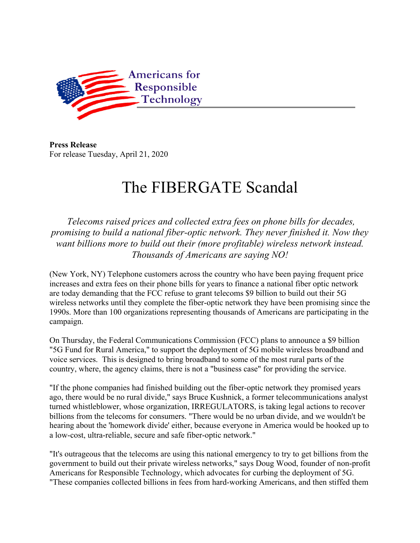

**Press Release** For release Tuesday, April 21, 2020

## The FIBERGATE Scandal

*Telecoms raised prices and collected extra fees on phone bills for decades, promising to build a national fiber-optic network. They never finished it. Now they want billions more to build out their (more profitable) wireless network instead. Thousands of Americans are saying NO!*

(New York, NY) Telephone customers across the country who have been paying frequent price increases and extra fees on their phone bills for years to finance a national fiber optic network are today demanding that the FCC refuse to grant telecoms \$9 billion to build out their 5G wireless networks until they complete the fiber-optic network they have been promising since the 1990s. More than 100 organizations representing thousands of Americans are participating in the campaign.

On Thursday, the Federal Communications Commission (FCC) plans to announce a \$9 billion "5G Fund for Rural America," to support the deployment of 5G mobile wireless broadband and voice services. This is designed to bring broadband to some of the most rural parts of the country, where, the agency claims, there is not a "business case" for providing the service.

"If the phone companies had finished building out the fiber-optic network they promised years ago, there would be no rural divide," says Bruce Kushnick, a former telecommunications analyst turned whistleblower, whose organization, IRREGULATORS, is taking legal actions to recover billions from the telecoms for consumers. "There would be no urban divide, and we wouldn't be hearing about the 'homework divide' either, because everyone in America would be hooked up to a low-cost, ultra-reliable, secure and safe fiber-optic network."

"It's outrageous that the telecoms are using this national emergency to try to get billions from the government to build out their private wireless networks," says Doug Wood, founder of non-profit Americans for Responsible Technology, which advocates for curbing the deployment of 5G. "These companies collected billions in fees from hard-working Americans, and then stiffed them